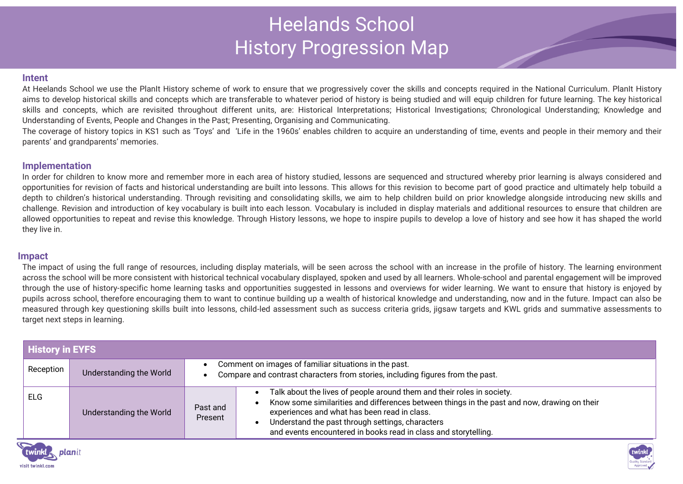# Heelands School History Progression Map

#### **Intent**

At Heelands School we use the PlanIt History scheme of work to ensure that we progressively cover the skills and concepts required in the National Curriculum. PlanIt History aims to develop historical skills and concepts which are transferable to whatever period of history is being studied and will equip children for future learning. The key historical skills and concepts, which are revisited throughout different units, are: Historical Interpretations; Historical Investigations; Chronological Understanding; Knowledge and Understanding of Events, People and Changes in the Past; Presenting, Organising and Communicating.

The coverage of history topics in KS1 such as 'Toys' and 'Life in the 1960s' enables children to acquire an understanding of time, events and people in their memory and their parents' and grandparents' memories.

## **Implementation**

In order for children to know more and remember more in each area of history studied, lessons are sequenced and structured whereby prior learning is always considered and opportunities for revision of facts and historical understanding are built into lessons. This allows for this revision to become part of good practice and ultimately help tobuild a depth to children's historical understanding. Through revisiting and consolidating skills, we aim to help children build on prior knowledge alongside introducing new skills and challenge. Revision and introduction of key vocabulary is built into each lesson. Vocabulary is included in display materials and additional resources to ensure that children are allowed opportunities to repeat and revise this knowledge. Through History lessons, we hope to inspire pupils to develop a love of history and see how it has shaped the world they live in.

### **Impact**

The impact of using the full range of resources, including display materials, will be seen across the school with an increase in the profile of history. The learning environment across the school will be more consistent with historical technical vocabulary displayed, spoken and used by all learners. Whole-school and parental engagement will be improved through the use of history-specific home learning tasks and opportunities suggested in lessons and overviews for wider learning. We want to ensure that history is enjoyed by pupils across school, therefore encouraging them to want to continue building up a wealth of historical knowledge and understanding, now and in the future. Impact can also be measured through key questioning skills built into lessons, child-led assessment such as success criteria grids, jigsaw targets and KWL grids and summative assessments to target next steps in learning.

| <b>History in EYFS</b> |                         |                                                                                                                                         |                                                                                                                                                                                                                                                                                                                                                           |  |  |  |  |
|------------------------|-------------------------|-----------------------------------------------------------------------------------------------------------------------------------------|-----------------------------------------------------------------------------------------------------------------------------------------------------------------------------------------------------------------------------------------------------------------------------------------------------------------------------------------------------------|--|--|--|--|
| Reception              | Understanding the World | Comment on images of familiar situations in the past.<br>Compare and contrast characters from stories, including figures from the past. |                                                                                                                                                                                                                                                                                                                                                           |  |  |  |  |
| <b>ELG</b>             | Understanding the World | Past and<br>Present                                                                                                                     | Talk about the lives of people around them and their roles in society.<br>$\bullet$<br>Know some similarities and differences between things in the past and now, drawing on their<br>experiences and what has been read in class.<br>Understand the past through settings, characters<br>and events encountered in books read in class and storytelling. |  |  |  |  |



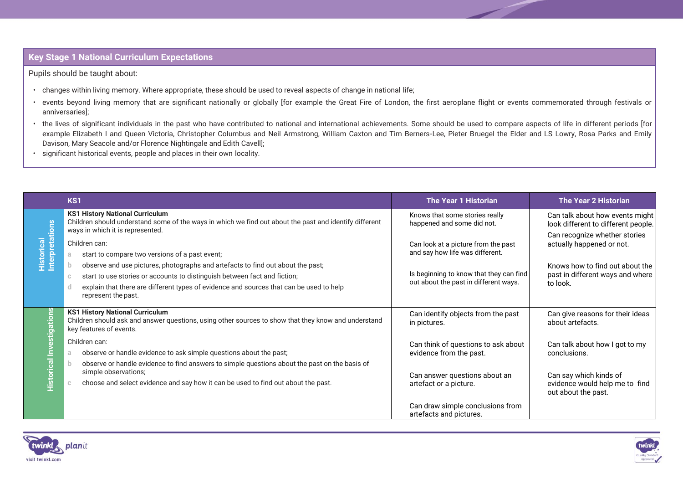# **Key Stage 1 National Curriculum Expectations**

Pupils should be taught about:

- changes within living memory. Where appropriate, these should be used to reveal aspects of change in national life;
- events beyond living memory that are significant nationally or globally [for example the Great Fire of London, the first aeroplane flight or events commemorated through festivals or anniversaries];
- the lives of significant individuals in the past who have contributed to national and international achievements. Some should be used to compare aspects of life in different periods [for example Elizabeth I and Queen Victoria, Christopher Columbus and Neil Armstrong, William Caxton and Tim Berners-Lee, Pieter Bruegel the Elder and LS Lowry, Rosa Parks and Emily Davison, Mary Seacole and/or Florence Nightingale and Edith Cavell];
- significant historical events, people and places in their own locality.

|                                                           | KS1                                                                                                                                                                                                                                                                                            | <b>The Year 1 Historian</b>                                                      | <b>The Year 2 Historian</b>                                                     |
|-----------------------------------------------------------|------------------------------------------------------------------------------------------------------------------------------------------------------------------------------------------------------------------------------------------------------------------------------------------------|----------------------------------------------------------------------------------|---------------------------------------------------------------------------------|
| Historical<br>Interpretations                             | <b>KS1 History National Curriculum</b><br>Children should understand some of the ways in which we find out about the past and identify different<br>ways in which it is represented.                                                                                                           | Knows that some stories really<br>happened and some did not.                     | Can talk about how events might<br>look different to different people.          |
|                                                           | Children can:<br>start to compare two versions of a past event;                                                                                                                                                                                                                                | Can look at a picture from the past<br>and say how life was different.           | Can recognize whether stories<br>actually happened or not.                      |
|                                                           | observe and use pictures, photographs and artefacts to find out about the past;<br>start to use stories or accounts to distinguish between fact and fiction;<br>$\mathbb{C}$<br>explain that there are different types of evidence and sources that can be used to help<br>represent the past. | Is beginning to know that they can find<br>out about the past in different ways. | Knows how to find out about the<br>past in different ways and where<br>to look. |
| ons<br><u>iire</u><br>$\overline{a}$<br><u>Historical</u> | <b>KS1 History National Curriculum</b><br>Children should ask and answer questions, using other sources to show that they know and understand<br>key features of events.                                                                                                                       | Can identify objects from the past<br>in pictures.                               | Can give reasons for their ideas<br>about artefacts.                            |
|                                                           | Children can:<br>observe or handle evidence to ask simple questions about the past;                                                                                                                                                                                                            | Can think of questions to ask about<br>evidence from the past.                   | Can talk about how I got to my<br>conclusions.                                  |
|                                                           | observe or handle evidence to find answers to simple questions about the past on the basis of<br>simple observations;<br>choose and select evidence and say how it can be used to find out about the past.                                                                                     | Can answer questions about an<br>artefact or a picture.                          | Can say which kinds of<br>evidence would help me to find<br>out about the past. |
|                                                           |                                                                                                                                                                                                                                                                                                | Can draw simple conclusions from<br>artefacts and pictures.                      |                                                                                 |